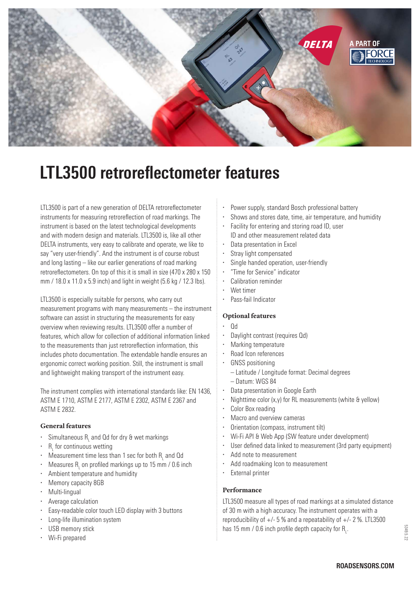

# **LTL3500 retroreflectometer features**

LTL3500 is part of a new generation of DELTA retroreflectometer instruments for measuring retroreflection of road markings. The instrument is based on the latest technological developments and with modern design and materials. LTL3500 is, like all other DELTA instruments, very easy to calibrate and operate, we like to say "very user-friendly". And the instrument is of course robust and long lasting – like our earlier generations of road marking retroreflectometers. On top of this it is small in size (470 x 280 x 150 mm / 18.0 x 11.0 x 5.9 inch) and light in weight (5.6 kg / 12.3 lbs).

LTL3500 is especially suitable for persons, who carry out measurement programs with many measurements – the instrument software can assist in structuring the measurements for easy overview when reviewing results. LTL3500 offer a number of features, which allow for collection of additional information linked to the measurements than just retroreflection information, this includes photo documentation. The extendable handle ensures an ergonomic correct working position. Still, the instrument is small and lightweight making transport of the instrument easy.

The instrument complies with international standards like: EN 1436, ASTM E 1710, ASTM E 2177, ASTM E 2302, ASTM E 2367 and ASTM E 2832.

# **General features**

- Simultaneous  $R_1$  and Qd for dry & wet markings
- $R_{L}$  for continuous wetting
- Measurement time less than 1 sec for both  $R_1$  and Qd
- $\cdot$  Measures R<sub>L</sub> on profiled markings up to 15 mm / 0.6 inch
- Ambient temperature and humidity
- Memory capacity 8GB
- · Multi-lingual
- · Average calculation
- Easy-readable color touch LED display with 3 buttons
- · Long-life illumination system
- USB memory stick
- Wi-Fi prepared
- Power supply, standard Bosch professional battery
- Shows and stores date, time, air temperature, and humidity
- · Facility for entering and storing road ID, user ID and other measurement related data
- · Data presentation in Excel
- Stray light compensated
- Single handed operation, user-friendly
- · "Time for Service" indicator
- · Calibration reminder
- Wet timer
- · Pass-fail Indicator

# **Optional features**

- · Qd
- Daylight contrast (requires Qd)
- · Marking temperature
- · Road Icon references
- GNSS positioning
	- Latitude / Longitude format: Decimal degrees
	- Datum: WGS 84
	- · Data presentation in Google Earth
- Nighttime color (x, v) for RL measurements (white & yellow)
- · Color Box reading
- · Macro and overview cameras
- · Orientation (compass, instrument tilt)
- · Wi-Fi API & Web App (SW feature under development)
- User defined data linked to measurement (3rd party equipment)
- Add note to measurement
- · Add roadmaking Icon to measurement
- · External printer

# **Performance**

LTL3500 measure all types of road markings at a simulated distance of 30 m with a high accuracy. The instrument operates with a reproducibility of  $+/- 5$ % and a repeatability of  $+/- 2$ %. LTL3500 has 15 mm / 0.6 inch profile depth capacity for  $R_1$ .